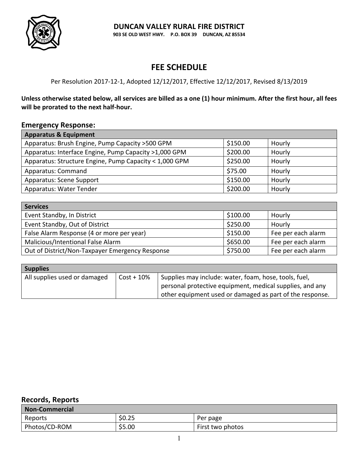

# **FEE SCHEDULE**

## Per Resolution 2017-12-1, Adopted 12/12/2017, Effective 12/12/2017, Revised 8/13/2019

**Unless otherwise stated below, all services are billed as a one (1) hour minimum. After the first hour, all fees will be prorated to the next half-hour.**

### **Emergency Response:**

| <b>Apparatus &amp; Equipment</b>                       |          |        |
|--------------------------------------------------------|----------|--------|
| Apparatus: Brush Engine, Pump Capacity > 500 GPM       | \$150.00 | Hourly |
| Apparatus: Interface Engine, Pump Capacity >1,000 GPM  | \$200.00 | Hourly |
| Apparatus: Structure Engine, Pump Capacity < 1,000 GPM | \$250.00 | Hourly |
| Apparatus: Command                                     | \$75.00  | Hourly |
| <b>Apparatus: Scene Support</b>                        | \$150.00 | Hourly |
| Apparatus: Water Tender                                | \$200.00 | Hourly |

| <b>Services</b>                                 |          |                    |
|-------------------------------------------------|----------|--------------------|
| Event Standby, In District                      | \$100.00 | Hourly             |
| Event Standby, Out of District                  | \$250.00 | Hourly             |
| False Alarm Response (4 or more per year)       | \$150.00 | Fee per each alarm |
| Malicious/Intentional False Alarm               | \$650.00 | Fee per each alarm |
| Out of District/Non-Taxpayer Emergency Response | \$750.00 | Fee per each alarm |

| <b>Supplies</b>              |               |                                                          |  |
|------------------------------|---------------|----------------------------------------------------------|--|
| All supplies used or damaged | $Cost + 10\%$ | Supplies may include: water, foam, hose, tools, fuel,    |  |
|                              |               | personal protective equipment, medical supplies, and any |  |
|                              |               | other equipment used or damaged as part of the response. |  |

# **Records, Reports**

| <b>Non-Commercial</b> |        |                  |
|-----------------------|--------|------------------|
| Reports               | \$0.25 | Per page         |
| Photos/CD-ROM         | \$5.00 | First two photos |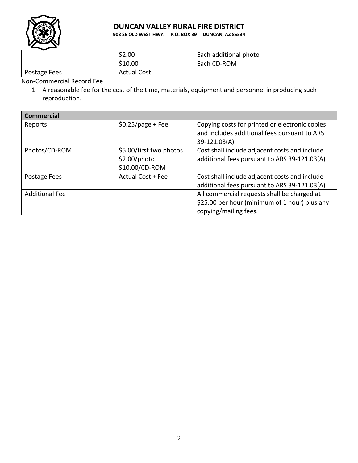

## **DUNCAN VALLEY RURAL FIRE DISTRICT**

**903 SE OLD WEST HWY. P.O. BOX 39 DUNCAN, AZ 85534**

| --           | \$2.00             | Each additional photo |
|--------------|--------------------|-----------------------|
|              | \$10.00            | Each CD-ROM           |
| Postage Fees | <b>Actual Cost</b> |                       |

Non-Commercial Record Fee

1 A reasonable fee for the cost of the time, materials, equipment and personnel in producing such reproduction.

| <b>Commercial</b>     |                                                           |                                                                                                                       |
|-----------------------|-----------------------------------------------------------|-----------------------------------------------------------------------------------------------------------------------|
| Reports               | $$0.25$ /page + Fee                                       | Copying costs for printed or electronic copies<br>and includes additional fees pursuant to ARS<br>39-121.03(A)        |
| Photos/CD-ROM         | \$5.00/first two photos<br>\$2.00/photo<br>\$10.00/CD-ROM | Cost shall include adjacent costs and include<br>additional fees pursuant to ARS 39-121.03(A)                         |
| Postage Fees          | Actual Cost + Fee                                         | Cost shall include adjacent costs and include<br>additional fees pursuant to ARS 39-121.03(A)                         |
| <b>Additional Fee</b> |                                                           | All commercial requests shall be charged at<br>\$25.00 per hour (minimum of 1 hour) plus any<br>copying/mailing fees. |